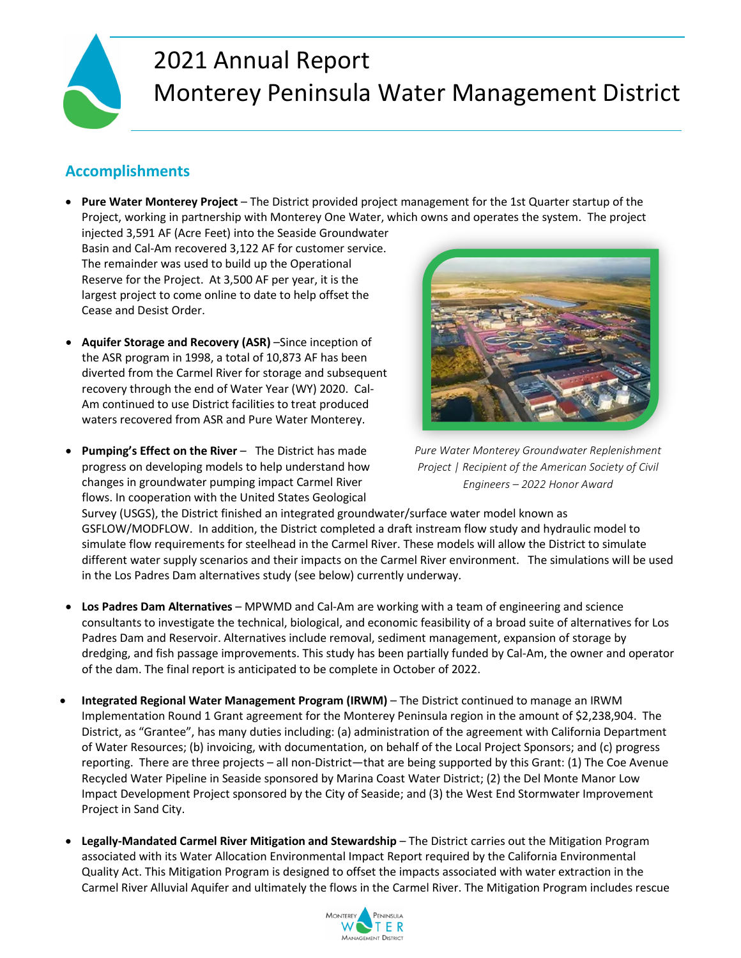

# 2021 Annual Report Monterey Peninsula Water Management District

# **Accomplishments**

- **Pure Water Monterey Project**  The District provided project management for the 1st Quarter startup of the Project, working in partnership with Monterey One Water, which owns and operates the system. The project
- injected 3,591 AF (Acre Feet) into the Seaside Groundwater Basin and Cal-Am recovered 3,122 AF for customer service. The remainder was used to build up the Operational Reserve for the Project. At 3,500 AF per year, it is the largest project to come online to date to help offset the Cease and Desist Order.
- **Aquifer Storage and Recovery (ASR)** –Since inception of the ASR program in 1998, a total of 10,873 AF has been diverted from the Carmel River for storage and subsequent recovery through the end of Water Year (WY) 2020. Cal-Am continued to use District facilities to treat produced waters recovered from ASR and Pure Water Monterey.
- **Pumping's Effect on the River** The District has made progress on developing models to help understand how changes in groundwater pumping impact Carmel River flows. In cooperation with the United States Geological



*Pure Water Monterey Groundwater Replenishment Project | Recipient of the American Society of Civil Engineers – 2022 Honor Award*

Survey (USGS), the District finished an integrated groundwater/surface water model known as GSFLOW/MODFLOW. In addition, the District completed a draft instream flow study and hydraulic model to simulate flow requirements for steelhead in the Carmel River. These models will allow the District to simulate different water supply scenarios and their impacts on the Carmel River environment. The simulations will be used in the Los Padres Dam alternatives study (see below) currently underway.

- **Los Padres Dam Alternatives** MPWMD and Cal-Am are working with a team of engineering and science consultants to investigate the technical, biological, and economic feasibility of a broad suite of alternatives for Los Padres Dam and Reservoir. Alternatives include removal, sediment management, expansion of storage by dredging, and fish passage improvements. This study has been partially funded by Cal-Am, the owner and operator of the dam. The final report is anticipated to be complete in October of 2022.
- **Integrated Regional Water Management Program (IRWM)** The District continued to manage an IRWM Implementation Round 1 Grant agreement for the Monterey Peninsula region in the amount of \$2,238,904. The District, as "Grantee", has many duties including: (a) administration of the agreement with California Department of Water Resources; (b) invoicing, with documentation, on behalf of the Local Project Sponsors; and (c) progress reporting. There are three projects – all non-District—that are being supported by this Grant: (1) The Coe Avenue Recycled Water Pipeline in Seaside sponsored by Marina Coast Water District; (2) the Del Monte Manor Low Impact Development Project sponsored by the City of Seaside; and (3) the West End Stormwater Improvement Project in Sand City.
- **Legally-Mandated Carmel River Mitigation and Stewardship**  The District carries out the Mitigation Program associated with its Water Allocation Environmental Impact Report required by the California Environmental Quality Act. This Mitigation Program is designed to offset the impacts associated with water extraction in the Carmel River Alluvial Aquifer and ultimately the flows in the Carmel River. The Mitigation Program includes rescue

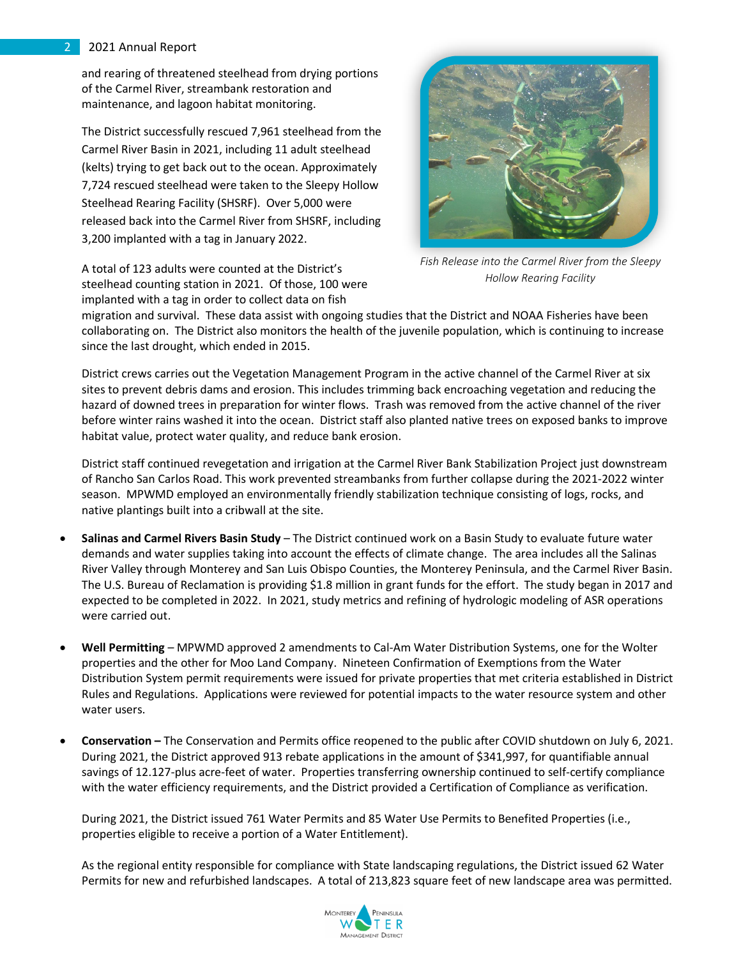#### 2 2021 Annual Report

and rearing of threatened steelhead from drying portions of the Carmel River, streambank restoration and maintenance, and lagoon habitat monitoring.

The District successfully rescued 7,961 steelhead from the Carmel River Basin in 2021, including 11 adult steelhead (kelts) trying to get back out to the ocean. Approximately 7,724 rescued steelhead were taken to the Sleepy Hollow Steelhead Rearing Facility (SHSRF). Over 5,000 were released back into the Carmel River from SHSRF, including 3,200 implanted with a tag in January 2022.

A total of 123 adults were counted at the District's steelhead counting station in 2021. Of those, 100 were implanted with a tag in order to collect data on fish



*Fish Release into the Carmel River from the Sleepy Hollow Rearing Facility*

migration and survival. These data assist with ongoing studies that the District and NOAA Fisheries have been collaborating on. The District also monitors the health of the juvenile population, which is continuing to increase since the last drought, which ended in 2015.

District crews carries out the Vegetation Management Program in the active channel of the Carmel River at six sites to prevent debris dams and erosion. This includes trimming back encroaching vegetation and reducing the hazard of downed trees in preparation for winter flows. Trash was removed from the active channel of the river before winter rains washed it into the ocean. District staff also planted native trees on exposed banks to improve habitat value, protect water quality, and reduce bank erosion.

District staff continued revegetation and irrigation at the Carmel River Bank Stabilization Project just downstream of Rancho San Carlos Road. This work prevented streambanks from further collapse during the 2021-2022 winter season. MPWMD employed an environmentally friendly stabilization technique consisting of logs, rocks, and native plantings built into a cribwall at the site.

- **Salinas and Carmel Rivers Basin Study** The District continued work on a Basin Study to evaluate future water demands and water supplies taking into account the effects of climate change. The area includes all the Salinas River Valley through Monterey and San Luis Obispo Counties, the Monterey Peninsula, and the Carmel River Basin. The U.S. Bureau of Reclamation is providing \$1.8 million in grant funds for the effort. The study began in 2017 and expected to be completed in 2022. In 2021, study metrics and refining of hydrologic modeling of ASR operations were carried out.
- **Well Permitting** MPWMD approved 2 amendments to Cal-Am Water Distribution Systems, one for the Wolter properties and the other for Moo Land Company. Nineteen Confirmation of Exemptions from the Water Distribution System permit requirements were issued for private properties that met criteria established in District Rules and Regulations. Applications were reviewed for potential impacts to the water resource system and other water users.
- **Conservation** The Conservation and Permits office reopened to the public after COVID shutdown on July 6, 2021. During 2021, the District approved 913 rebate applications in the amount of \$341,997, for quantifiable annual savings of 12.127-plus acre-feet of water. Properties transferring ownership continued to self-certify compliance with the water efficiency requirements, and the District provided a Certification of Compliance as verification.

During 2021, the District issued 761 Water Permits and 85 Water Use Permits to Benefited Properties (i.e., properties eligible to receive a portion of a Water Entitlement).

As the regional entity responsible for compliance with State landscaping regulations, the District issued 62 Water Permits for new and refurbished landscapes. A total of 213,823 square feet of new landscape area was permitted.

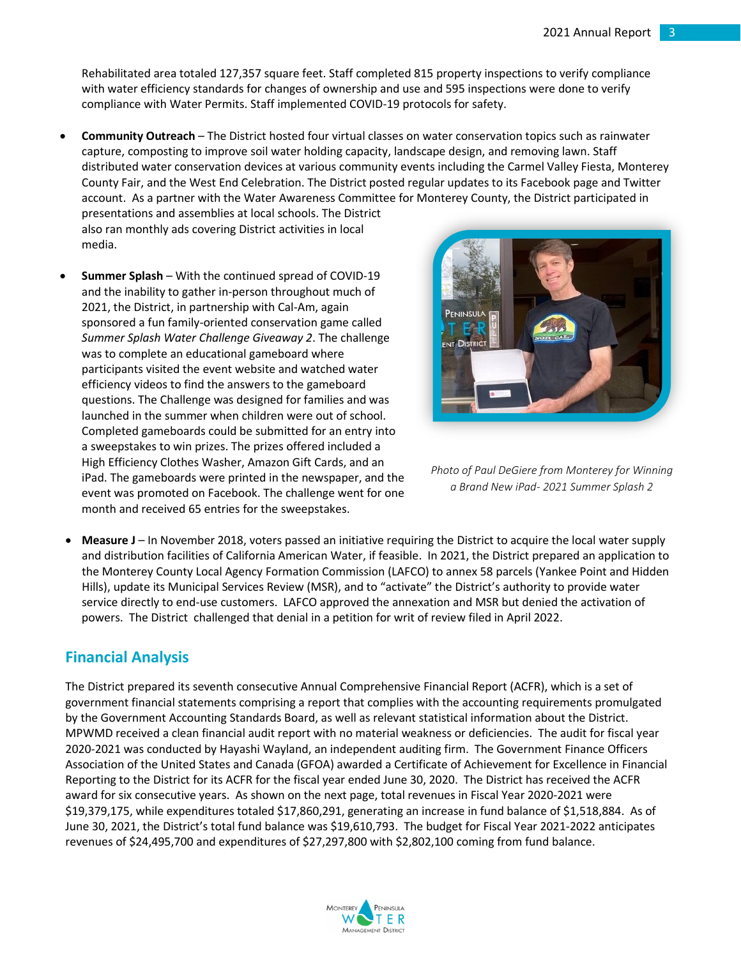Rehabilitated area totaled 127,357 square feet. Staff completed 815 property inspections to verify compliance with water efficiency standards for changes of ownership and use and 595 inspections were done to verify compliance with Water Permits. Staff implemented COVID-19 protocols for safety.

• **Community Outreach** – The District hosted four virtual classes on water conservation topics such as rainwater capture, composting to improve soil water holding capacity, landscape design, and removing lawn. Staff distributed water conservation devices at various community events including the Carmel Valley Fiesta, Monterey County Fair, and the West End Celebration. The District posted regular updates to its Facebook page and Twitter account. As a partner with the Water Awareness Committee for Monterey County, the District participated in presentations and assemblies at local schools. The District

also ran monthly ads covering District activities in local media.

• **Summer Splash** – With the continued spread of COVID-19 and the inability to gather in-person throughout much of 2021, the District, in partnership with Cal-Am, again sponsored a fun family-oriented conservation game called *Summer Splash Water Challenge Giveaway 2*. The challenge was to complete an educational gameboard where participants visited the event website and watched water efficiency videos to find the answers to the gameboard questions. The Challenge was designed for families and was launched in the summer when children were out of school. Completed gameboards could be submitted for an entry into a sweepstakes to win prizes. The prizes offered included a High Efficiency Clothes Washer, Amazon Gift Cards, and an iPad. The gameboards were printed in the newspaper, and the event was promoted on Facebook. The challenge went for one month and received 65 entries for the sweepstakes.



*Photo of Paul DeGiere from Monterey for Winning a Brand New iPad- 2021 Summer Splash 2*

• **Measure J** – In November 2018, voters passed an initiative requiring the District to acquire the local water supply and distribution facilities of California American Water, if feasible. In 2021, the District prepared an application to the Monterey County Local Agency Formation Commission (LAFCO) to annex 58 parcels (Yankee Point and Hidden Hills), update its Municipal Services Review (MSR), and to "activate" the District's authority to provide water service directly to end-use customers. LAFCO approved the annexation and MSR but denied the activation of powers. The District challenged that denial in a petition for writ of review filed in April 2022.

### **Financial Analysis**

The District prepared its seventh consecutive Annual Comprehensive Financial Report (ACFR), which is a set of government financial statements comprising a report that complies with the accounting requirements promulgated by the Government Accounting Standards Board, as well as relevant statistical information about the District. MPWMD received a clean financial audit report with no material weakness or deficiencies. The audit for fiscal year 2020-2021 was conducted by Hayashi Wayland, an independent auditing firm. The Government Finance Officers Association of the United States and Canada (GFOA) awarded a Certificate of Achievement for Excellence in Financial Reporting to the District for its ACFR for the fiscal year ended June 30, 2020. The District has received the ACFR award for six consecutive years. As shown on the next page, total revenues in Fiscal Year 2020-2021 were \$19,379,175, while expenditures totaled \$17,860,291, generating an increase in fund balance of \$1,518,884. As of June 30, 2021, the District's total fund balance was \$19,610,793. The budget for Fiscal Year 2021-2022 anticipates revenues of \$24,495,700 and expenditures of \$27,297,800 with \$2,802,100 coming from fund balance.